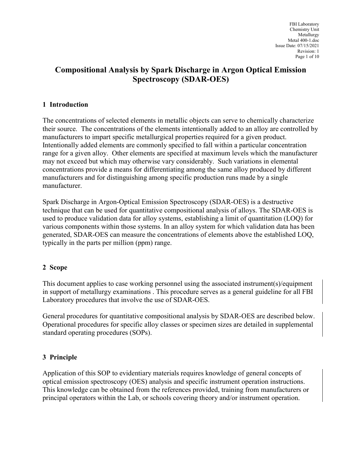# Compositional Analysis by Spark Discharge in Argon Optical Emission Spectroscopy (SDAR-OES)

### 1 Introduction

The concentrations of selected elements in metallic objects can serve to chemically characterize their source. The concentrations of the elements intentionally added to an alloy are controlled by manufacturers to impart specific metallurgical properties required for a given product. Intentionally added elements are commonly specified to fall within a particular concentration range for a given alloy. Other elements are specified at maximum levels which the manufacturer may not exceed but which may otherwise vary considerably. Such variations in elemental concentrations provide a means for differentiating among the same alloy produced by different manufacturers and for distinguishing among specific production runs made by a single manufacturer.

Spark Discharge in Argon-Optical Emission Spectroscopy (SDAR-OES) is a destructive technique that can be used for quantitative compositional analysis of alloys. The SDAR-OES is used to produce validation data for alloy systems, establishing a limit of quantitation (LOQ) for various components within those systems. In an alloy system for which validation data has been generated, SDAR-OES can measure the concentrations of elements above the established LOQ, typically in the parts per million (ppm) range.

#### 2 Scope

This document applies to case working personnel using the associated instrument(s)/equipment in support of metallurgy examinations . This procedure serves as a general guideline for all FBI Laboratory procedures that involve the use of SDAR-OES.

General procedures for quantitative compositional analysis by SDAR-OES are described below. Operational procedures for specific alloy classes or specimen sizes are detailed in supplemental standard operating procedures (SOPs).

### 3 Principle

Application of this SOP to evidentiary materials requires knowledge of general concepts of optical emission spectroscopy (OES) analysis and specific instrument operation instructions. This knowledge can be obtained from the references provided, training from manufacturers or principal operators within the Lab, or schools covering theory and/or instrument operation.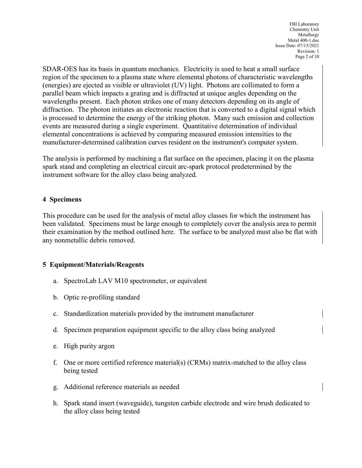FBI Laboratory Chemistry Unit Metallurgy Metal 400-1.doc Issue Date: 07/15/2021 Revision: 1 Page 2 of 10

SDAR-OES has its basis in quantum mechanics. Electricity is used to heat a small surface region of the specimen to a plasma state where elemental photons of characteristic wavelengths (energies) are ejected as visible or ultraviolet (UV) light. Photons are collimated to form a parallel beam which impacts a grating and is diffracted at unique angles depending on the wavelengths present. Each photon strikes one of many detectors depending on its angle of diffraction. The photon initiates an electronic reaction that is converted to a digital signal which is processed to determine the energy of the striking photon. Many such emission and collection events are measured during a single experiment. Quantitative determination of individual elemental concentrations is achieved by comparing measured emission intensities to the manufacturer-determined calibration curves resident on the instrument's computer system.

The analysis is performed by machining a flat surface on the specimen, placing it on the plasma spark stand and completing an electrical circuit arc-spark protocol predetermined by the instrument software for the alloy class being analyzed.

#### 4 Specimens

This procedure can be used for the analysis of metal alloy classes for which the instrument has been validated. Specimens must be large enough to completely cover the analysis area to permit their examination by the method outlined here. The surface to be analyzed must also be flat with any nonmetallic debris removed.

### 5 Equipment/Materials/Reagents

- a. SpectroLab LAV M10 spectrometer, or equivalent
- b. Optic re-profiling standard
- c. Standardization materials provided by the instrument manufacturer
- d. Specimen preparation equipment specific to the alloy class being analyzed
- e. High purity argon
- f. One or more certified reference material(s) (CRMs) matrix-matched to the alloy class being tested
- g. Additional reference materials as needed
- h. Spark stand insert (waveguide), tungsten carbide electrode and wire brush dedicated to the alloy class being tested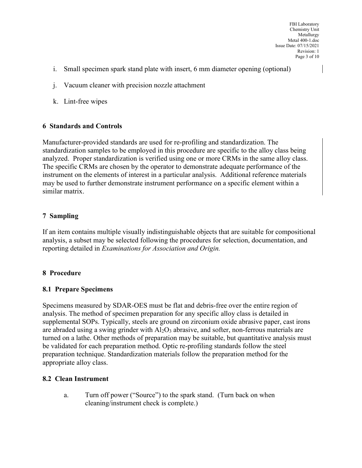- i. Small specimen spark stand plate with insert, 6 mm diameter opening (optional)
- j. Vacuum cleaner with precision nozzle attachment
- k. Lint-free wipes

#### 6 Standards and Controls

Manufacturer-provided standards are used for re-profiling and standardization. The standardization samples to be employed in this procedure are specific to the alloy class being analyzed. Proper standardization is verified using one or more CRMs in the same alloy class. The specific CRMs are chosen by the operator to demonstrate adequate performance of the instrument on the elements of interest in a particular analysis. Additional reference materials may be used to further demonstrate instrument performance on a specific element within a similar matrix.

# 7 Sampling

If an item contains multiple visually indistinguishable objects that are suitable for compositional analysis, a subset may be selected following the procedures for selection, documentation, and reporting detailed in Examinations for Association and Origin.

### 8 Procedure

### 8.1 Prepare Specimens

Specimens measured by SDAR-OES must be flat and debris-free over the entire region of analysis. The method of specimen preparation for any specific alloy class is detailed in supplemental SOPs. Typically, steels are ground on zirconium oxide abrasive paper, cast irons are abraded using a swing grinder with  $A1_2O_3$  abrasive, and softer, non-ferrous materials are turned on a lathe. Other methods of preparation may be suitable, but quantitative analysis must be validated for each preparation method. Optic re-profiling standards follow the steel preparation technique. Standardization materials follow the preparation method for the appropriate alloy class.

### 8.2 Clean Instrument

a. Turn off power ("Source") to the spark stand. (Turn back on when cleaning/instrument check is complete.)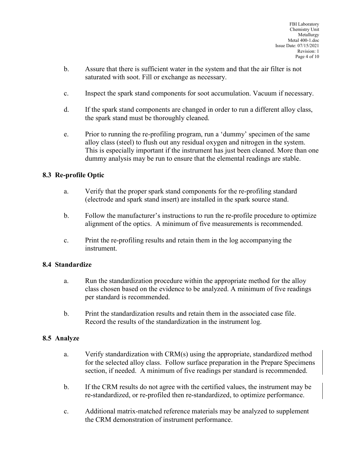- b. Assure that there is sufficient water in the system and that the air filter is not saturated with soot. Fill or exchange as necessary.
- c. Inspect the spark stand components for soot accumulation. Vacuum if necessary.
- d. If the spark stand components are changed in order to run a different alloy class, the spark stand must be thoroughly cleaned.
- e. Prior to running the re-profiling program, run a 'dummy' specimen of the same alloy class (steel) to flush out any residual oxygen and nitrogen in the system. This is especially important if the instrument has just been cleaned. More than one dummy analysis may be run to ensure that the elemental readings are stable.

### 8.3 Re-profile Optic

- a. Verify that the proper spark stand components for the re-profiling standard (electrode and spark stand insert) are installed in the spark source stand.
- b. Follow the manufacturer's instructions to run the re-profile procedure to optimize alignment of the optics. A minimum of five measurements is recommended.
- c. Print the re-profiling results and retain them in the log accompanying the instrument.

#### 8.4 Standardize

- a. Run the standardization procedure within the appropriate method for the alloy class chosen based on the evidence to be analyzed. A minimum of five readings per standard is recommended.
- b. Print the standardization results and retain them in the associated case file. Record the results of the standardization in the instrument log.

#### 8.5 Analyze

- a. Verify standardization with CRM(s) using the appropriate, standardized method for the selected alloy class. Follow surface preparation in the Prepare Specimens section, if needed. A minimum of five readings per standard is recommended.
- b. If the CRM results do not agree with the certified values, the instrument may be re-standardized, or re-profiled then re-standardized, to optimize performance.
- c. Additional matrix-matched reference materials may be analyzed to supplement the CRM demonstration of instrument performance.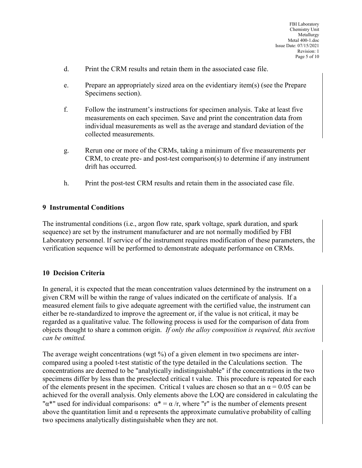- d. Print the CRM results and retain them in the associated case file.
- e. Prepare an appropriately sized area on the evidentiary item(s) (see the Prepare Specimens section).
- f. Follow the instrument's instructions for specimen analysis. Take at least five measurements on each specimen. Save and print the concentration data from individual measurements as well as the average and standard deviation of the collected measurements.
- g. Rerun one or more of the CRMs, taking a minimum of five measurements per CRM, to create pre- and post-test comparison(s) to determine if any instrument drift has occurred.
- h. Print the post-test CRM results and retain them in the associated case file.

#### 9 Instrumental Conditions

The instrumental conditions (i.e., argon flow rate, spark voltage, spark duration, and spark sequence) are set by the instrument manufacturer and are not normally modified by FBI Laboratory personnel. If service of the instrument requires modification of these parameters, the verification sequence will be performed to demonstrate adequate performance on CRMs.

### 10 Decision Criteria

In general, it is expected that the mean concentration values determined by the instrument on a given CRM will be within the range of values indicated on the certificate of analysis. If a measured element fails to give adequate agreement with the certified value, the instrument can either be re-standardized to improve the agreement or, if the value is not critical, it may be regarded as a qualitative value. The following process is used for the comparison of data from objects thought to share a common origin. If only the alloy composition is required, this section can be omitted.

The average weight concentrations (wgt %) of a given element in two specimens are intercompared using a pooled t-test statistic of the type detailed in the Calculations section. The concentrations are deemed to be "analytically indistinguishable" if the concentrations in the two specimens differ by less than the preselected critical t value. This procedure is repeated for each of the elements present in the specimen. Critical t values are chosen so that an  $\alpha = 0.05$  can be achieved for the overall analysis. Only elements above the LOQ are considered in calculating the " $\alpha^*$ " used for individual comparisons:  $\alpha^* = \alpha / r$ , where "r" is the number of elements present above the quantitation limit and  $\alpha$  represents the approximate cumulative probability of calling two specimens analytically distinguishable when they are not.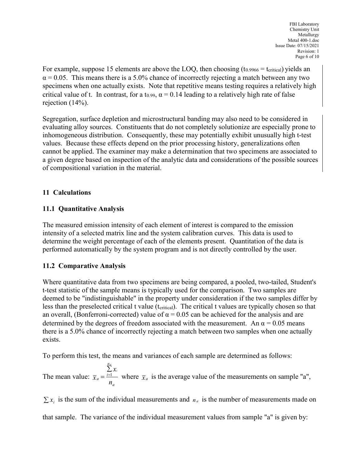For example, suppose 15 elements are above the LOQ, then choosing  $(t_{0.9966} = t_{critical})$  yields an  $\alpha$  = 0.05. This means there is a 5.0% chance of incorrectly rejecting a match between any two specimens when one actually exists. Note that repetitive means testing requires a relatively high critical value of t. In contrast, for a t<sub>0.99</sub>,  $\alpha = 0.14$  leading to a relatively high rate of false rejection (14%).

Segregation, surface depletion and microstructural banding may also need to be considered in evaluating alloy sources. Constituents that do not completely solutionize are especially prone to inhomogeneous distribution. Consequently, these may potentially exhibit unusually high t-test values. Because these effects depend on the prior processing history, generalizations often cannot be applied. The examiner may make a determination that two specimens are associated to a given degree based on inspection of the analytic data and considerations of the possible sources of compositional variation in the material.

### 11 Calculations

### 11.1 Quantitative Analysis

The measured emission intensity of each element of interest is compared to the emission intensity of a selected matrix line and the system calibration curves. This data is used to determine the weight percentage of each of the elements present. Quantitation of the data is performed automatically by the system program and is not directly controlled by the user.

### 11.2 Comparative Analysis

Where quantitative data from two specimens are being compared, a pooled, two-tailed, Student's t-test statistic of the sample means is typically used for the comparison. Two samples are deemed to be "indistinguishable" in the property under consideration if the two samples differ by less than the preselected critical t value (t<sub>critical</sub>). The critical t values are typically chosen so that an overall, (Bonferroni-corrected) value of  $\alpha = 0.05$  can be achieved for the analysis and are determined by the degrees of freedom associated with the measurement. An  $\alpha = 0.05$  means there is a 5.0% chance of incorrectly rejecting a match between two samples when one actually exists.

To perform this test, the means and variances of each sample are determined as follows:

The mean value: a n  $a = \frac{i-1}{n}$  $\mathcal{X}_i$  $\overline{x}$  $\sum\limits_{i=1}^{n_a} \chi_i$  $=$   $\frac{i=1}{i}$  where  $\bar{x}_a$  is the average value of the measurements on sample "a",

 $\sum x_i$  is the sum of the individual measurements and  $n_a$  is the number of measurements made on that sample. The variance of the individual measurement values from sample "a" is given by: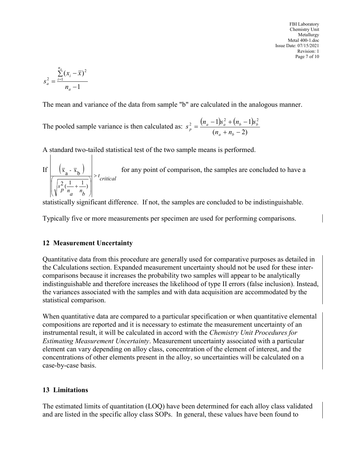FBI Laboratory Chemistry Unit Metallurgy Metal 400-1.doc Issue Date: 07/15/2021 Revision: 1 Page 7 of 10

$$
s_a^2 = \frac{\sum_{i=1}^{n_a} (x_i - \overline{x})^2}{n_a - 1}
$$

The mean and variance of the data from sample "b" are calculated in the analogous manner.

The pooled sample variance is then calculated as:  $s_n^2 = \frac{(n_a - 1)s_a^2 + (n_b - 1)s_b^2}{n_a^2 + n_b^2}$  $(n_a + n_b - 2)$  $\frac{1}{2} - (n_a - 1)s_a^2 + (n_b - 1)s_b^2$  $+n_h$  –  $=\frac{(n_a-1)s_a^2+(n_b-1)s_a^2+(n_b-1)s_b^2}{2s_b^2}$  $a \perp \mathbf{u}_b$  $\frac{p}{p} = \frac{(n_a - 1)b_a + (n_b - 1)b_b}{(n_a + n_b - 2)}$  $s_n^2 = \frac{(n_a - 1)s_a^2 + (n_b - 1)s_b^2}{(n_a - n)s_b^2}$ 

A standard two-tailed statistical test of the two sample means is performed.

| FBI Labo<br>Clearly                                               | FBI Labo<br>Clearly |
|-------------------------------------------------------------------|---------------------|
| $S_a^2 = \frac{\sum_{i=1}^{n_a} (x_i - \overline{x})^2}{n_a - 1}$ | These last: 07/15   |
| $S_a^2 = \frac{\sum_{i=1}^{n_a} (x_i - \overline{x})^2}{n_a - 1}$ |                     |

\nThe mean and variance of the data from sample "b" are calculated in the analogous manner.

\nThe pooled sample variance is then calculated as:  $s_p^2 = \frac{(n_a - 1)s_a^2 + (n_b - 1)s_b^2}{(n_a + n_b - 2)}$ 

\nA standard two-tailed statistical test of the two sample means is performed.

\nIf  $(\overline{x}_a - \overline{x}_b)$  for any point of comparison, the samples are concluded to have a statistically significant difference. If not, the samples are concluded to be indistinguishable.

statistically significant difference. If not, the samples are concluded to be indistinguishable.

Typically five or more measurements per specimen are used for performing comparisons.

#### 12 Measurement Uncertainty

Quantitative data from this procedure are generally used for comparative purposes as detailed in the Calculations section. Expanded measurement uncertainty should not be used for these intercomparisons because it increases the probability two samples will appear to be analytically indistinguishable and therefore increases the likelihood of type II errors (false inclusion). Instead, the variances associated with the samples and with data acquisition are accommodated by the statistical comparison.

When quantitative data are compared to a particular specification or when quantitative elemental compositions are reported and it is necessary to estimate the measurement uncertainty of an instrumental result, it will be calculated in accord with the Chemistry Unit Procedures for Estimating Measurement Uncertainty. Measurement uncertainty associated with a particular element can vary depending on alloy class, concentration of the element of interest, and the concentrations of other elements present in the alloy, so uncertainties will be calculated on a case-by-case basis.

### 13 Limitations

The estimated limits of quantitation (LOQ) have been determined for each alloy class validated and are listed in the specific alloy class SOPs. In general, these values have been found to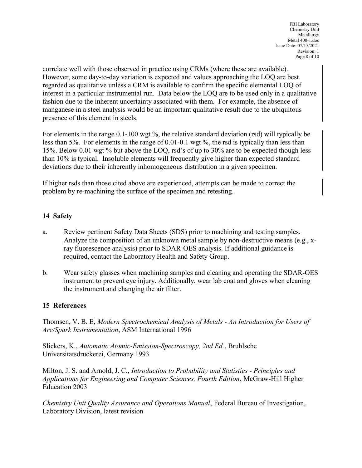correlate well with those observed in practice using CRMs (where these are available). However, some day-to-day variation is expected and values approaching the LOQ are best regarded as qualitative unless a CRM is available to confirm the specific elemental LOQ of interest in a particular instrumental run. Data below the LOQ are to be used only in a qualitative fashion due to the inherent uncertainty associated with them. For example, the absence of manganese in a steel analysis would be an important qualitative result due to the ubiquitous presence of this element in steels.

For elements in the range 0.1-100 wgt %, the relative standard deviation (rsd) will typically be less than 5%. For elements in the range of 0.01-0.1 wgt %, the rsd is typically than less than 15%. Below 0.01 wgt % but above the LOQ, rsd's of up to 30% are to be expected though less than 10% is typical. Insoluble elements will frequently give higher than expected standard deviations due to their inherently inhomogeneous distribution in a given specimen.

If higher rsds than those cited above are experienced, attempts can be made to correct the problem by re-machining the surface of the specimen and retesting.

# 14 Safety

- a. Review pertinent Safety Data Sheets (SDS) prior to machining and testing samples. Analyze the composition of an unknown metal sample by non-destructive means (e.g., xray fluorescence analysis) prior to SDAR-OES analysis. If additional guidance is required, contact the Laboratory Health and Safety Group.
- b. Wear safety glasses when machining samples and cleaning and operating the SDAR-OES instrument to prevent eye injury. Additionally, wear lab coat and gloves when cleaning the instrument and changing the air filter.

### 15 References

Thomsen, V. B. E, Modern Spectrochemical Analysis of Metals - An Introduction for Users of Arc/Spark Instrumentation, ASM International 1996

Slickers, K., Automatic Atomic-Emission-Spectroscopy, 2nd Ed., Bruhlsche Universitatsdruckerei, Germany 1993

Milton, J. S. and Arnold, J. C., Introduction to Probability and Statistics - Principles and Applications for Engineering and Computer Sciences, Fourth Edition, McGraw-Hill Higher Education 2003

Chemistry Unit Quality Assurance and Operations Manual, Federal Bureau of Investigation, Laboratory Division, latest revision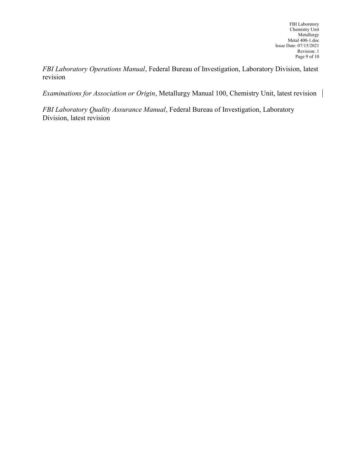FBI Laboratory Operations Manual, Federal Bureau of Investigation, Laboratory Division, latest revision

Examinations for Association or Origin, Metallurgy Manual 100, Chemistry Unit, latest revision |

FBI Laboratory Quality Assurance Manual, Federal Bureau of Investigation, Laboratory Division, latest revision